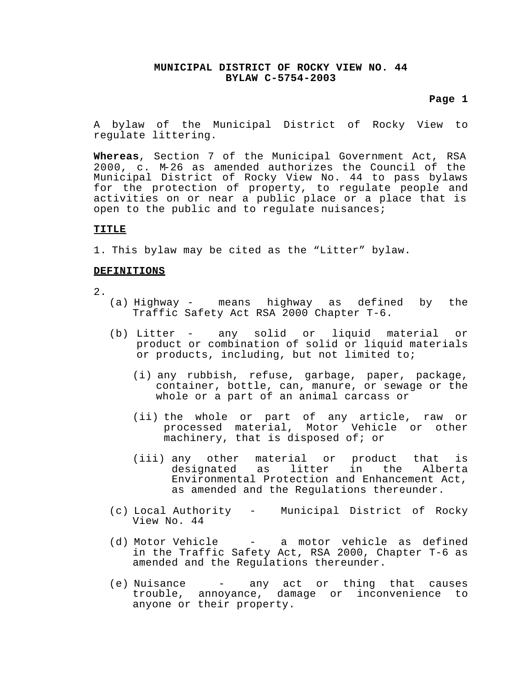## **Page 1**

A bylaw of the Municipal District of Rocky View to regulate littering.

**Whereas**, Section 7 of the Municipal Government Act, RSA 2000, c. M-26 as amended authorizes the Council of the Municipal District of Rocky View No. 44 to pass bylaws for the protection of property, to regulate people and activities on or near a public place or a place that is open to the public and to regulate nuisances;

## **TITLE**

1. This bylaw may be cited as the "Litter" bylaw.

### **DEFINITIONS**

- 2.
- (a) Highway means highway as defined by the Traffic Safety Act RSA 2000 Chapter T-6.
- (b) Litter any solid or liquid material or product or combination of solid or liquid materials or products, including, but not limited to;
	- (i) any rubbish, refuse, garbage, paper, package, container, bottle, can, manure, or sewage or the whole or a part of an animal carcass or
	- (ii) the whole or part of any article, raw or processed material, Motor Vehicle or other machinery, that is disposed of; or
	- (iii) any other material or product that is designated as litter in the Alberta Environmental Protection and Enhancement Act, as amended and the Regulations thereunder.
- (c) Local Authority Municipal District of Rocky View No. 44
- (d) Motor Vehicle a motor vehicle as defined in the Traffic Safety Act, RSA 2000, Chapter T-6 as amended and the Regulations thereunder.
- (e) Nuisance any act or thing that causes trouble, annoyance, damage or inconvenience to anyone or their property.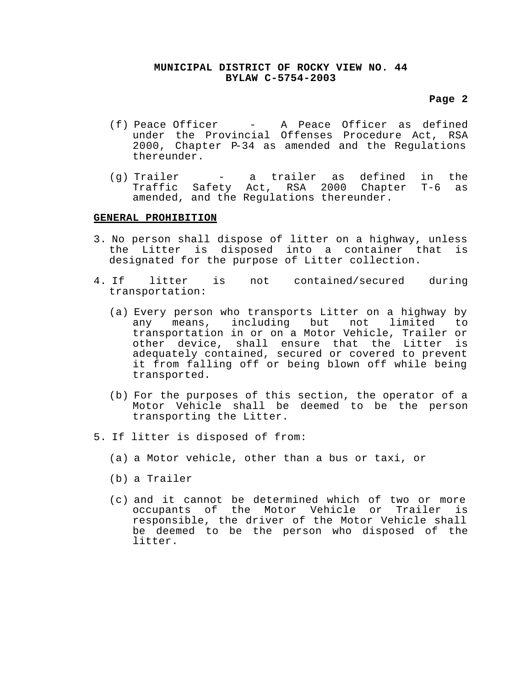## **Page 2**

- (f) Peace Officer A Peace Officer as defined under the Provincial Offenses Procedure Act, RSA 2000, Chapter P-34 as amended and the Regulations thereunder.
- (g) Trailer a trailer as defined in the Traffic Safety Act, RSA 2000 Chapter T-6 as amended, and the Regulations thereunder.

#### **GENERAL PROHIBITION**

- 3. No person shall dispose of litter on a highway, unless the Litter is disposed into a container that is designated for the purpose of Litter collection.
- 4. If litter is not contained/secured during transportation:
	- (a) Every person who transports Litter on a highway by any means, including but not limited to transportation in or on a Motor Vehicle, Trailer or other device, shall ensure that the Litter is adequately contained, secured or covered to prevent it from falling off or being blown off while being transported.
	- (b) For the purposes of this section, the operator of a Motor Vehicle shall be deemed to be the person transporting the Litter.
- 5. If litter is disposed of from:
	- (a) a Motor vehicle, other than a bus or taxi, or
	- (b) a Trailer
	- (c) and it cannot be determined which of two or more<br>occupants of the Motor Vehicle or Trailer is occupants of the Motor Vehicle or Trailer responsible, the driver of the Motor Vehicle shall be deemed to be the person who disposed of the litter.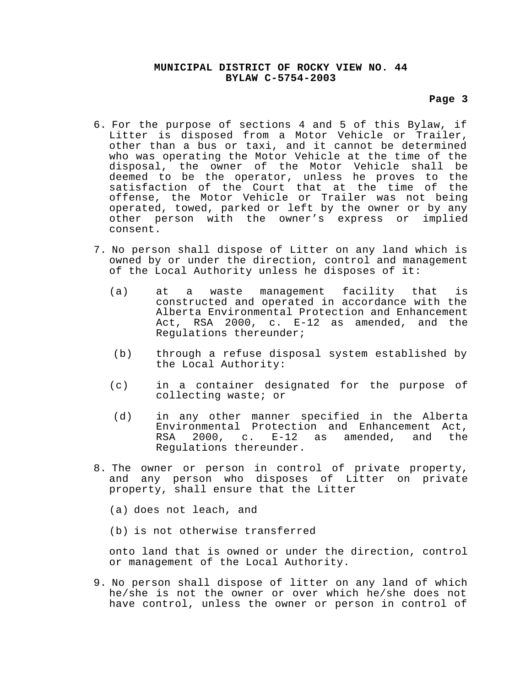## **Page 3**

- 6. For the purpose of sections 4 and 5 of this Bylaw, if Litter is disposed from a Motor Vehicle or Trailer, other than a bus or taxi, and it cannot be determined who was operating the Motor Vehicle at the time of the disposal, the owner of the Motor Vehicle shall be deemed to be the operator, unless he proves to the satisfaction of the Court that at the time of the offense, the Motor Vehicle or Trailer was not being operated, towed, parked or left by the owner or by any other person with the owner's express or implied consent.
- 7. No person shall dispose of Litter on any land which is owned by or under the direction, control and management of the Local Authority unless he disposes of it:
	- (a) at a waste management facility that is constructed and operated in accordance with the Alberta Environmental Protection and Enhancement Act, RSA 2000, c. E-12 as amended, and the Regulations thereunder;
	- (b) through a refuse disposal system established by the Local Authority:
	- (c) in a container designated for the purpose of collecting waste; or
	- (d) in any other manner specified in the Alberta Environmental Protection and Enhancement Act, RSA 2000, c. E-12 as amended, and the Regulations thereunder.
- 8. The owner or person in control of private property, and any person who disposes of Litter on private property, shall ensure that the Litter
	- (a) does not leach, and
	- (b) is not otherwise transferred

onto land that is owned or under the direction, control or management of the Local Authority.

9. No person shall dispose of litter on any land of which he/she is not the owner or over which he/she does not have control, unless the owner or person in control of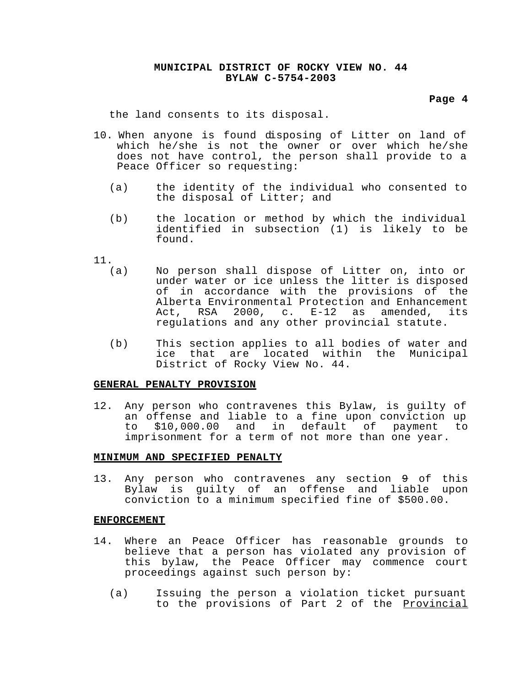#### **Page 4**

the land consents to its disposal.

- 10. When anyone is found disposing of Litter on land of which he/she is not the owner or over which he/she does not have control, the person shall provide to a Peace Officer so requesting:
	- (a) the identity of the individual who consented to the disposal of Litter; and
	- (b) the location or method by which the individual identified in subsection (1) is likely to be found.
- $\frac{11}{(a)}$ 
	- No person shall dispose of Litter on, into or under water or ice unless the litter is disposed of in accordance with the provisions of the Alberta Environmental Protection and Enhancement Act, RSA 2000, c. E-12 as amended, its regulations and any other provincial statute.
	- (b) This section applies to all bodies of water and ice that are located within the Municipal District of Rocky View No. 44.

# **GENERAL PENALTY PROVISION**

12. Any person who contravenes this Bylaw, is guilty of an offense and liable to a fine upon conviction up to \$10,000.00 and in default of payment to imprisonment for a term of not more than one year.

#### **MINIMUM AND SPECIFIED PENALTY**

13. Any person who contravenes any section 9 of this Bylaw is guilty of an offense and liable upon conviction to a minimum specified fine of \$500.00.

#### **ENFORCEMENT**

- 14. Where an Peace Officer has reasonable grounds to believe that a person has violated any provision of this bylaw, the Peace Officer may commence court proceedings against such person by:
	- (a) Issuing the person a violation ticket pursuant to the provisions of Part 2 of the **Provincial**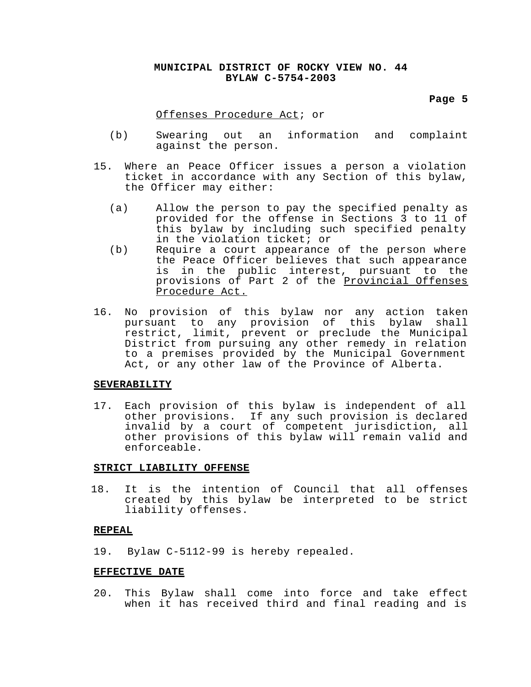#### **Page 5**

#### Offenses Procedure Act; or

- (b) Swearing out an information and complaint against the person.
- 15. Where an Peace Officer issues a person a violation ticket in accordance with any Section of this bylaw, the Officer may either:
	- (a) Allow the person to pay the specified penalty as provided for the offense in Sections 3 to 11 of this bylaw by including such specified penalty in the violation ticket; or
	- (b) Require a court appearance of the person where the Peace Officer believes that such appearance is in the public interest, pursuant to the provisions of Part 2 of the Provincial Offenses Procedure Act.
- 16. No provision of this bylaw nor any action taken pursuant to any provision of this bylaw shall restrict, limit, prevent or preclude the Municipal District from pursuing any other remedy in relation to a premises provided by the Municipal Government Act, or any other law of the Province of Alberta.

#### **SEVERABILITY**

17. Each provision of this bylaw is independent of all other provisions. If any such provision is declared invalid by a court of competent jurisdiction, all other provisions of this bylaw will remain valid and enforceable.

#### **STRICT LIABILITY OFFENSE**

18. It is the intention of Council that all offenses created by this bylaw be interpreted to be strict liability offenses.

#### **REPEAL**

19. Bylaw C-5112-99 is hereby repealed.

## **EFFECTIVE DATE**

20. This Bylaw shall come into force and take effect when it has received third and final reading and is